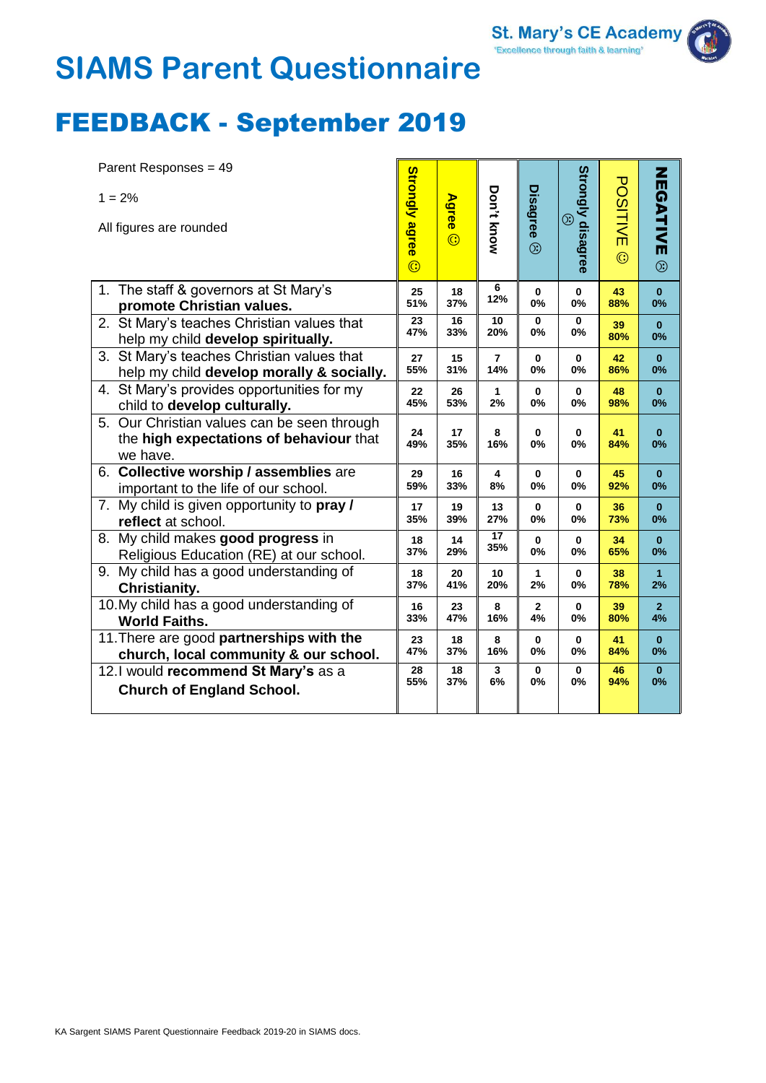# **SIAMS Parent Questionnaire**

### FEEDBACK - September 2019

| Parent Responses = 49                                                                              |                       |           |                 |                |                                     |           |                |
|----------------------------------------------------------------------------------------------------|-----------------------|-----------|-----------------|----------------|-------------------------------------|-----------|----------------|
| $1 = 2%$<br>All figures are rounded                                                                | <b>Strongly agree</b> | Agree ©   | Don't know      | Disagree       | Strongly disagree<br>$\circledcirc$ | POSITIVE  | NEGATIVE       |
|                                                                                                    | $\odot$               |           |                 | $\circledS$    |                                     | $\odot$   | $\circledS$    |
| 1. The staff & governors at St Mary's                                                              | 25                    | 18        | 6               | 0              | $\mathbf 0$                         | 43        | $\bf{0}$       |
| promote Christian values.                                                                          | 51%                   | 37%       | 12%             | 0%             | 0%                                  | 88%       | 0%             |
| 2. St Mary's teaches Christian values that                                                         | 23                    | 16        | 10              | 0              | $\bf{0}$                            | 39        | $\mathbf{0}$   |
| help my child develop spiritually.                                                                 | 47%                   | 33%       | 20%             | 0%             | 0%                                  | 80%       | 0%             |
| 3. St Mary's teaches Christian values that                                                         | 27                    | 15        | 7               | 0              | $\bf{0}$                            | 42        | $\bf{0}$       |
| help my child develop morally & socially.                                                          | 55%                   | 31%       | 14%             | 0%             | 0%                                  | 86%       | 0%             |
| 4. St Mary's provides opportunities for my                                                         | 22                    | 26        | $\mathbf{1}$    | $\mathbf{0}$   | $\bf{0}$                            | 48        | $\bf{0}$       |
| child to develop culturally.                                                                       | 45%                   | 53%       | 2%              | 0%             | 0%                                  | 98%       | 0%             |
| 5. Our Christian values can be seen through<br>the high expectations of behaviour that<br>we have. | 24<br>49%             | 17<br>35% | 8<br>16%        | 0<br><b>0%</b> | 0<br>0%                             | 41<br>84% | $\bf{0}$<br>0% |
| 6. Collective worship / assemblies are                                                             | 29                    | 16        | 4               | 0              | $\bf{0}$                            | 45        | $\bf{0}$       |
| important to the life of our school.                                                               | 59%                   | 33%       | 8%              | 0%             | 0%                                  | 92%       | 0%             |
| My child is given opportunity to pray /<br>7.<br>reflect at school.                                | 17<br>35%             | 19<br>39% | 13<br>27%       | 0<br>0%        | $\bf{0}$<br>0%                      | 36<br>73% | $\bf{0}$<br>0% |
| 8. My child makes good progress in                                                                 | 18                    | 14        | $\overline{17}$ | 0              | $\bf{0}$                            | 34        | $\bf{0}$       |
| Religious Education (RE) at our school.                                                            | 37%                   | 29%       | 35%             | 0%             | 0%                                  | 65%       | 0%             |
| 9. My child has a good understanding of                                                            | 18                    | 20        | 10              | 1              | $\bf{0}$                            | 38        | $\mathbf{1}$   |
| Christianity.                                                                                      | 37%                   | 41%       | 20%             | 2%             | 0%                                  | 78%       | 2%             |
| 10. My child has a good understanding of                                                           | 16                    | 23        | 8               | $\mathbf{2}$   | $\bf{0}$                            | 39        | 2 <sup>1</sup> |
| <b>World Faiths.</b>                                                                               | 33%                   | 47%       | 16%             | 4%             | 0%                                  | 80%       | 4%             |
| 11. There are good partnerships with the                                                           | 23                    | 18        | 8               | 0              | 0                                   | 41        | $\bf{0}$       |
| church, local community & our school.                                                              | 47%                   | 37%       | 16%             | 0%             | 0%                                  | 84%       | 0%             |
| 12.1 would recommend St Mary's as a                                                                | 28                    | 18        | 3               | 0              | $\bf{0}$                            | 46        | $\bf{0}$       |
| <b>Church of England School.</b>                                                                   | 55%                   | 37%       | 6%              | <b>0%</b>      | 0%                                  | 94%       | 0%             |